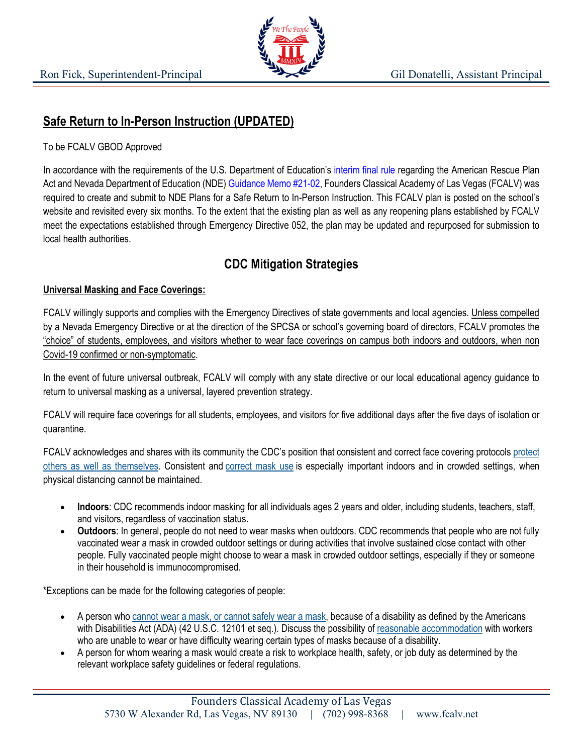

## **Safe Return to In-Person Instruction (UPDATED)**

## To be FCALV GBOD Approved

In accordance with the requirements of the U.S. Department of Education's interim final rule regarding the American Rescue Plan Act and Nevada Department of Education (NDE) Guidance Memo #21-02, Founders Classical Academy of Las Vegas (FCALV) was required to create and submit to NDE Plans for a Safe Return to In-Person Instruction. This FCALV plan is posted on the school's website and revisited every six months. To the extent that the existing plan as well as any reopening plans established by FCALV meet the expectations established through Emergency Directive 052, the plan may be updated and repurposed for submission to local health authorities.

# **CDC Mitigation Strategies**

## **Universal Masking and Face Coverings:**

FCALV willingly supports and complies with the Emergency Directives of state governments and local agencies. Unless compelled by a Nevada Emergency Directive or at the direction of the SPCSA or school's governing board of directors, FCALV promotes the "choice" of students, employees, and visitors whether to wear face coverings on campus both indoors and outdoors, when non Covid-19 confirmed or non-symptomatic.

In the event of future universal outbreak, FCALV will comply with any state directive or our local educational agency guidance to return to universal masking as a universal, layered prevention strategy.

FCALV will require face coverings for all students, employees, and visitors for five additional days after the five days of isolation or quarantine.

FCALV acknowledges and shares with its community the CDC's position that consistent and correct face covering protocols protect others as well as themselves. Consistent and correct mask use is especially important indoors and in crowded settings, when physical distancing cannot be maintained.

- **Indoors**: CDC recommends indoor masking for all individuals ages 2 years and older, including students, teachers, staff, and visitors, regardless of vaccination status.
- **Outdoors**: In general, people do not need to wear masks when outdoors. CDC recommends that people who are not fully vaccinated wear a mask in crowded outdoor settings or during activities that involve sustained close contact with other people. Fully vaccinated people might choose to wear a mask in crowded outdoor settings, especially if they or someone in their household is immunocompromised.

\*Exceptions can be made for the following categories of people:

- A person who cannot wear a mask, or cannot safely wear a mask, because of a disability as defined by the Americans with Disabilities Act (ADA) (42 U.S.C. 12101 et seq.). Discuss the possibility of reasonable accommodation with workers who are unable to wear or have difficulty wearing certain types of masks because of a disability.
- A person for whom wearing a mask would create a risk to workplace health, safety, or job duty as determined by the relevant workplace safety guidelines or federal regulations.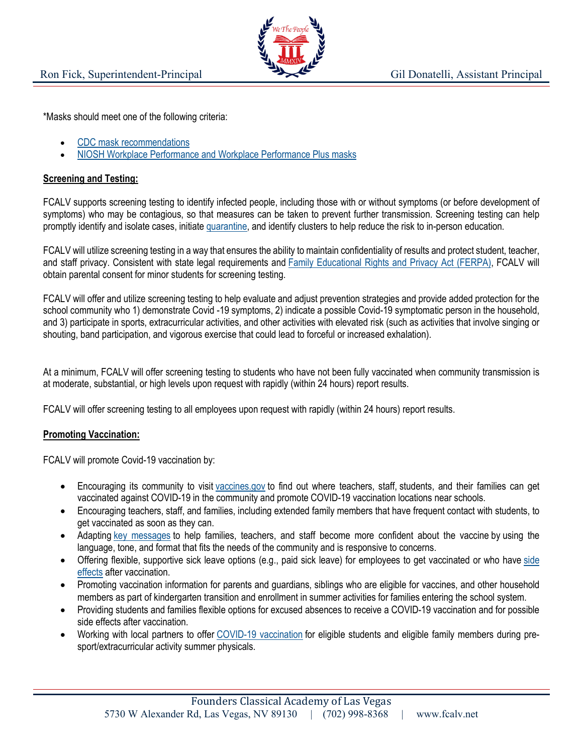

\*Masks should meet one of the following criteria:

- CDC mask recommendations
- NIOSH Workplace Performance and Workplace Performance Plus masks

### **Screening and Testing:**

FCALV supports screening testing to identify infected people, including those with or without symptoms (or before development of symptoms) who may be contagious, so that measures can be taken to prevent further transmission. Screening testing can help promptly identify and isolate cases, initiate quarantine, and identify clusters to help reduce the risk to in-person education.

FCALV will utilize screening testing in a way that ensures the ability to maintain confidentiality of results and protect student, teacher, and staff privacy. Consistent with state legal requirements and Family Educational Rights and Privacy Act (FERPA), FCALV will obtain parental consent for minor students for screening testing.

FCALV will offer and utilize screening testing to help evaluate and adjust prevention strategies and provide added protection for the school community who 1) demonstrate Covid -19 symptoms, 2) indicate a possible Covid-19 symptomatic person in the household, and 3) participate in sports, extracurricular activities, and other activities with elevated risk (such as activities that involve singing or shouting, band participation, and vigorous exercise that could lead to forceful or increased exhalation).

At a minimum, FCALV will offer screening testing to students who have not been fully vaccinated when community transmission is at moderate, substantial, or high levels upon request with rapidly (within 24 hours) report results.

FCALV will offer screening testing to all employees upon request with rapidly (within 24 hours) report results.

#### **Promoting Vaccination:**

FCALV will promote Covid-19 vaccination by:

- Encouraging its community to visit vaccines.gov to find out where teachers, staff, students, and their families can get vaccinated against COVID-19 in the community and promote COVID-19 vaccination locations near schools.
- Encouraging teachers, staff, and families, including extended family members that have frequent contact with students, to get vaccinated as soon as they can.
- Adapting key messages to help families, teachers, and staff become more confident about the vaccine by using the language, tone, and format that fits the needs of the community and is responsive to concerns.
- Offering flexible, supportive sick leave options (e.g., paid sick leave) for employees to get vaccinated or who have side effects after vaccination.
- Promoting vaccination information for parents and guardians, siblings who are eligible for vaccines, and other household members as part of kindergarten transition and enrollment in summer activities for families entering the school system.
- Providing students and families flexible options for excused absences to receive a COVID-19 vaccination and for possible side effects after vaccination.
- Working with local partners to offer COVID-19 vaccination for eligible students and eligible family members during presport/extracurricular activity summer physicals.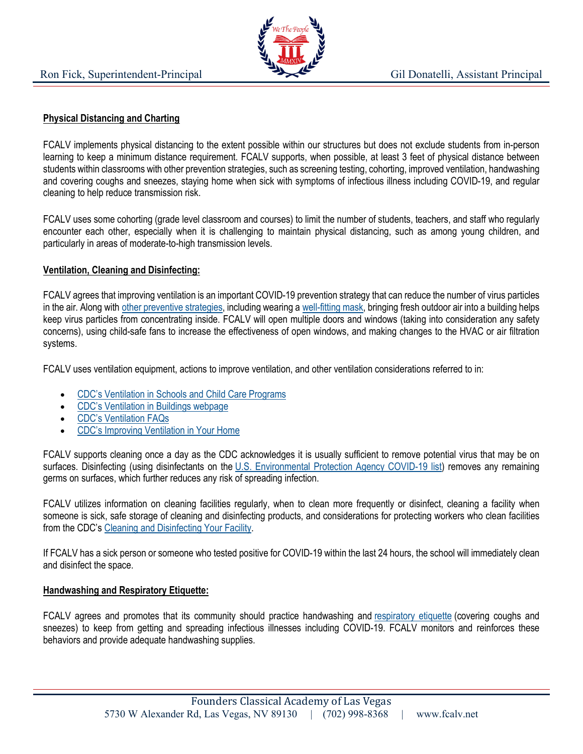

#### **Physical Distancing and Charting**

FCALV implements physical distancing to the extent possible within our structures but does not exclude students from in-person learning to keep a minimum distance requirement. FCALV supports, when possible, at least 3 feet of physical distance between students within classrooms with other prevention strategies, such as screening testing, cohorting, improved ventilation, handwashing and covering coughs and sneezes, staying home when sick with symptoms of infectious illness including COVID-19, and regular cleaning to help reduce transmission risk.

FCALV uses some cohorting (grade level classroom and courses) to limit the number of students, teachers, and staff who regularly encounter each other, especially when it is challenging to maintain physical distancing, such as among young children, and particularly in areas of moderate-to-high transmission levels.

#### **Ventilation, Cleaning and Disinfecting:**

FCALV agrees that improving ventilation is an important COVID-19 prevention strategy that can reduce the number of virus particles in the air. Along with other preventive strategies, including wearing a well-fitting mask, bringing fresh outdoor air into a building helps keep virus particles from concentrating inside. FCALV will open multiple doors and windows (taking into consideration any safety concerns), using child-safe fans to increase the effectiveness of open windows, and making changes to the HVAC or air filtration systems.

FCALV uses ventilation equipment, actions to improve ventilation, and other ventilation considerations referred to in:

- CDC's Ventilation in Schools and Child Care Programs
- CDC's Ventilation in Buildings webpage
- CDC's Ventilation FAQs
- CDC's Improving Ventilation in Your Home

FCALV supports cleaning once a day as the CDC acknowledges it is usually sufficient to remove potential virus that may be on surfaces. Disinfecting (using disinfectants on the U.S. Environmental Protection Agency COVID-19 list) removes any remaining germs on surfaces, which further reduces any risk of spreading infection.

FCALV utilizes information on cleaning facilities regularly, when to clean more frequently or disinfect, cleaning a facility when someone is sick, safe storage of cleaning and disinfecting products, and considerations for protecting workers who clean facilities from the CDC's Cleaning and Disinfecting Your Facility.

If FCALV has a sick person or someone who tested positive for COVID-19 within the last 24 hours, the school will immediately clean and disinfect the space.

#### **Handwashing and Respiratory Etiquette:**

FCALV agrees and promotes that its community should practice handwashing and respiratory etiquette (covering coughs and sneezes) to keep from getting and spreading infectious illnesses including COVID-19. FCALV monitors and reinforces these behaviors and provide adequate handwashing supplies.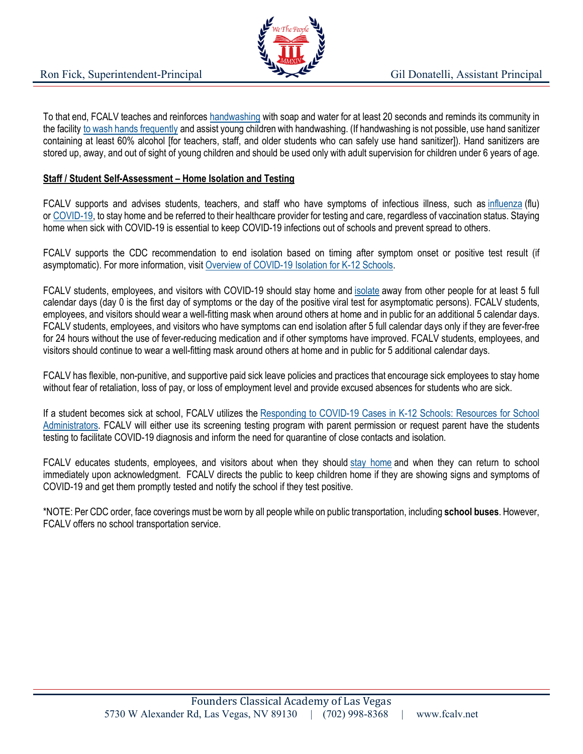

To that end, FCALV teaches and reinforces handwashing with soap and water for at least 20 seconds and reminds its community in the facility to wash hands frequently and assist young children with handwashing. (If handwashing is not possible, use hand sanitizer containing at least 60% alcohol [for teachers, staff, and older students who can safely use hand sanitizer]). Hand sanitizers are stored up, away, and out of sight of young children and should be used only with adult supervision for children under 6 years of age.

#### **Staff / Student Self-Assessment – Home Isolation and Testing**

FCALV supports and advises students, teachers, and staff who have symptoms of infectious illness, such as influenza (flu) or COVID-19, to stay home and be referred to their healthcare provider for testing and care, regardless of vaccination status. Staying home when sick with COVID-19 is essential to keep COVID-19 infections out of schools and prevent spread to others.

FCALV supports the CDC recommendation to end isolation based on timing after symptom onset or positive test result (if asymptomatic). For more information, visit Overview of COVID-19 Isolation for K-12 Schools.

FCALV students, employees, and visitors with COVID-19 should stay home and isolate away from other people for at least 5 full calendar days (day 0 is the first day of symptoms or the day of the positive viral test for asymptomatic persons). FCALV students, employees, and visitors should wear a well-fitting mask when around others at home and in public for an additional 5 calendar days. FCALV students, employees, and visitors who have symptoms can end isolation after 5 full calendar days only if they are fever-free for 24 hours without the use of fever-reducing medication and if other symptoms have improved. FCALV students, employees, and visitors should continue to wear a well-fitting mask around others at home and in public for 5 additional calendar days.

FCALV has flexible, non-punitive, and supportive paid sick leave policies and practices that encourage sick employees to stay home without fear of retaliation, loss of pay, or loss of employment level and provide excused absences for students who are sick.

If a student becomes sick at school, FCALV utilizes the Responding to COVID-19 Cases in K-12 Schools: Resources for School Administrators. FCALV will either use its screening testing program with parent permission or request parent have the students testing to facilitate COVID-19 diagnosis and inform the need for quarantine of close contacts and isolation.

FCALV educates students, employees, and visitors about when they should stay home and when they can return to school immediately upon acknowledgment. FCALV directs the public to keep children home if they are showing signs and symptoms of COVID-19 and get them promptly tested and notify the school if they test positive.

\*NOTE: Per CDC order, face coverings must be worn by all people while on public transportation, including **school buses**. However, FCALV offers no school transportation service.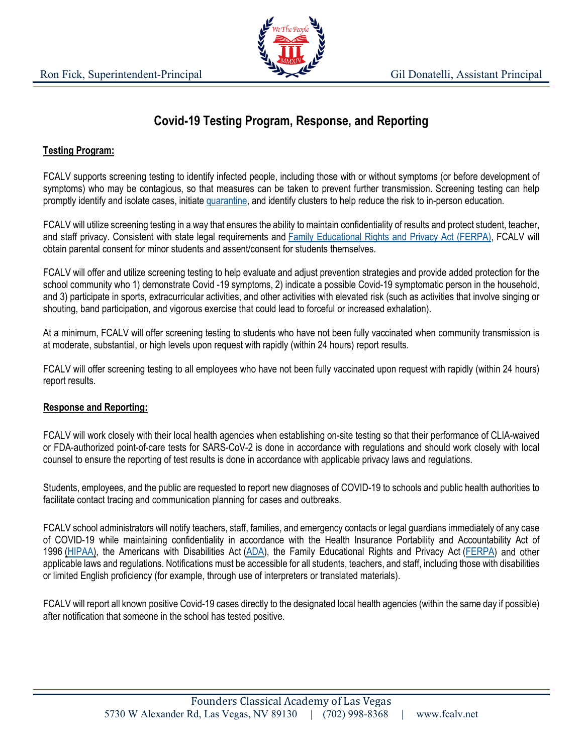

# **Covid-19 Testing Program, Response, and Reporting**

## **Testing Program:**

FCALV supports screening testing to identify infected people, including those with or without symptoms (or before development of symptoms) who may be contagious, so that measures can be taken to prevent further transmission. Screening testing can help promptly identify and isolate cases, initiate quarantine, and identify clusters to help reduce the risk to in-person education.

FCALV will utilize screening testing in a way that ensures the ability to maintain confidentiality of results and protect student, teacher, and staff privacy. Consistent with state legal requirements and Family Educational Rights and Privacy Act (FERPA), FCALV will obtain parental consent for minor students and assent/consent for students themselves.

FCALV will offer and utilize screening testing to help evaluate and adjust prevention strategies and provide added protection for the school community who 1) demonstrate Covid -19 symptoms, 2) indicate a possible Covid-19 symptomatic person in the household, and 3) participate in sports, extracurricular activities, and other activities with elevated risk (such as activities that involve singing or shouting, band participation, and vigorous exercise that could lead to forceful or increased exhalation).

At a minimum, FCALV will offer screening testing to students who have not been fully vaccinated when community transmission is at moderate, substantial, or high levels upon request with rapidly (within 24 hours) report results.

FCALV will offer screening testing to all employees who have not been fully vaccinated upon request with rapidly (within 24 hours) report results.

#### **Response and Reporting:**

FCALV will work closely with their local health agencies when establishing on-site testing so that their performance of CLIA-waived or FDA-authorized point-of-care tests for SARS-CoV-2 is done in accordance with regulations and should work closely with local counsel to ensure the reporting of test results is done in accordance with applicable privacy laws and regulations.

Students, employees, and the public are requested to report new diagnoses of COVID-19 to schools and public health authorities to facilitate contact tracing and communication planning for cases and outbreaks.

FCALV school administrators will notify teachers, staff, families, and emergency contacts or legal guardians immediately of any case of COVID-19 while maintaining confidentiality in accordance with the Health Insurance Portability and Accountability Act of 1996 (HIPAA), the Americans with Disabilities Act (ADA), the Family Educational Rights and Privacy Act (FERPA) and other applicable laws and regulations. Notifications must be accessible for all students, teachers, and staff, including those with disabilities or limited English proficiency (for example, through use of interpreters or translated materials).

FCALV will report all known positive Covid-19 cases directly to the designated local health agencies (within the same day if possible) after notification that someone in the school has tested positive.